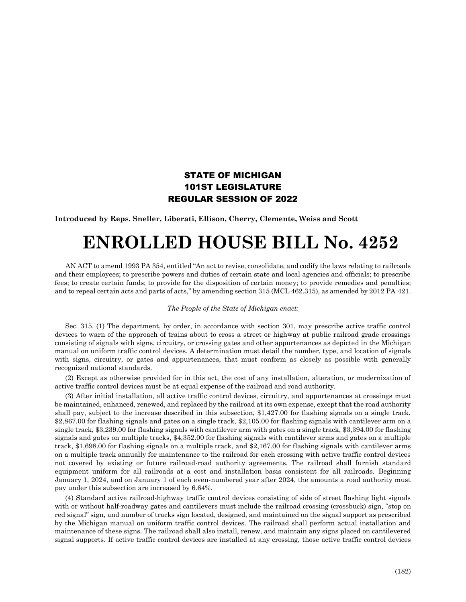## STATE OF MICHIGAN 101ST LEGISLATURE REGULAR SESSION OF 2022

**Introduced by Reps. Sneller, Liberati, Ellison, Cherry, Clemente, Weiss and Scott**

## **ENROLLED HOUSE BILL No. 4252**

AN ACT to amend 1993 PA 354, entitled "An act to revise, consolidate, and codify the laws relating to railroads and their employees; to prescribe powers and duties of certain state and local agencies and officials; to prescribe fees; to create certain funds; to provide for the disposition of certain money; to provide remedies and penalties; and to repeal certain acts and parts of acts," by amending section 315 (MCL 462.315), as amended by 2012 PA 421.

## *The People of the State of Michigan enact:*

Sec. 315. (1) The department, by order, in accordance with section 301, may prescribe active traffic control devices to warn of the approach of trains about to cross a street or highway at public railroad grade crossings consisting of signals with signs, circuitry, or crossing gates and other appurtenances as depicted in the Michigan manual on uniform traffic control devices. A determination must detail the number, type, and location of signals with signs, circuitry, or gates and appurtenances, that must conform as closely as possible with generally recognized national standards.

(2) Except as otherwise provided for in this act, the cost of any installation, alteration, or modernization of active traffic control devices must be at equal expense of the railroad and road authority.

(3) After initial installation, all active traffic control devices, circuitry, and appurtenances at crossings must be maintained, enhanced, renewed, and replaced by the railroad at its own expense, except that the road authority shall pay, subject to the increase described in this subsection, \$1,427.00 for flashing signals on a single track, \$2,867.00 for flashing signals and gates on a single track, \$2,105.00 for flashing signals with cantilever arm on a single track, \$3,239.00 for flashing signals with cantilever arm with gates on a single track, \$3,394.00 for flashing signals and gates on multiple tracks, \$4,352.00 for flashing signals with cantilever arms and gates on a multiple track, \$1,698.00 for flashing signals on a multiple track, and \$2,167.00 for flashing signals with cantilever arms on a multiple track annually for maintenance to the railroad for each crossing with active traffic control devices not covered by existing or future railroad-road authority agreements. The railroad shall furnish standard equipment uniform for all railroads at a cost and installation basis consistent for all railroads. Beginning January 1, 2024, and on January 1 of each even-numbered year after 2024, the amounts a road authority must pay under this subsection are increased by 6.64%.

(4) Standard active railroad-highway traffic control devices consisting of side of street flashing light signals with or without half-roadway gates and cantilevers must include the railroad crossing (crossbuck) sign, "stop on red signal" sign, and number of tracks sign located, designed, and maintained on the signal support as prescribed by the Michigan manual on uniform traffic control devices. The railroad shall perform actual installation and maintenance of these signs. The railroad shall also install, renew, and maintain any signs placed on cantilevered signal supports. If active traffic control devices are installed at any crossing, those active traffic control devices